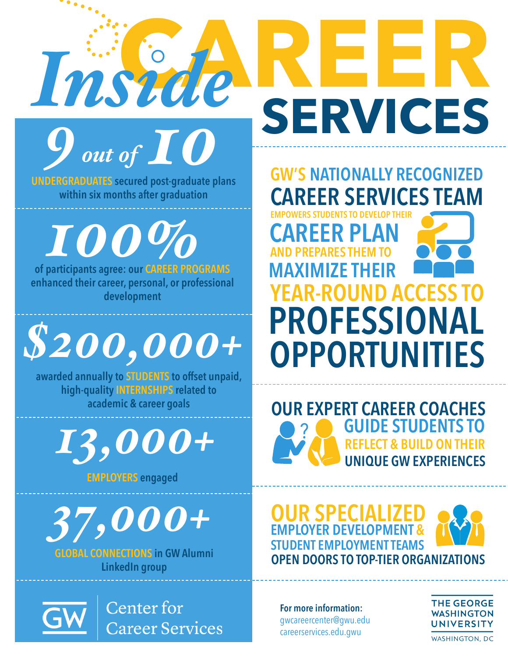

**UNDERGRADUATES secured post-graduate plans within six months after graduation**

**of participants agree: our CAREER PROGRAMS enhanced their career, personal, or professional development** *100%*

## *\$200,000+*

**awarded annually to STUDENTS to offset unpaid, high-quality INTERNSHIPS related to academic & career goals**

*13,000+*

**EMPLOYERS engaged**

*37,000+*

**GLOBAL CONNECTIONS in GW Alumni LinkedIn group**

> **Center** for **Career Services**

**EMPOWERS STUDENTS TO DEVELOP THEI CAREER PLAN MAXIMIZE THEIR AND PRFPARES THEM YEAR-ROUND ACCESS PROFESSIONAL OPPORTUNITIES GW'S NATIONALLY RECOGNIZED CAREER SERVICES TEAM**

**SERVICES**



**OUR SPECIALIZED STUDENT EMPLOYMENT TEAMS EMPLOYER DEVELOPMENT & OPEN DOORS TO TOP-TIER ORGANIZATIONS**

**For more information:**  gwcareercenter@gwu.edu careerservices.edu.gwu



**WASHINGTON, DC**